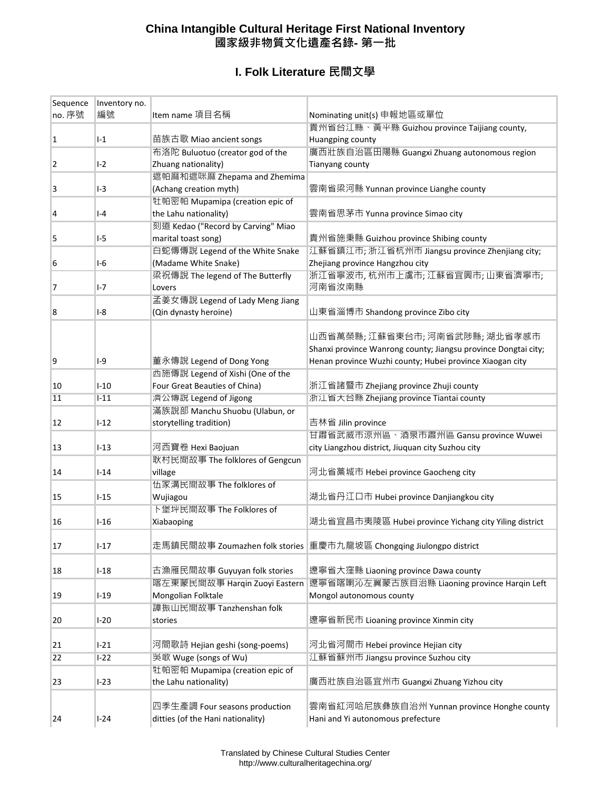## **China Intangible Cultural Heritage First National Inventory 國家級非物質文化遺產名錄- 第一批**

## **I. Folk Literature 民間文學**

| Sequence<br>no. 序號 | Inventory no.<br>編號 |                                    |                                                                            |
|--------------------|---------------------|------------------------------------|----------------------------------------------------------------------------|
|                    |                     | Item name 項目名稱                     | Nominating unit(s) 申報地區或單位<br>貴州省台江縣、黃平縣 Guizhou province Taijiang county, |
| 1                  | $-1$                | 苗族古歌 Miao ancient songs            | Huangping county                                                           |
|                    |                     | 布洛陀 Buluotuo (creator god of the   | 廣西壯族自治區出陽縣 Guangxi Zhuang autonomous region                                |
| 2                  | $I-2$               | Zhuang nationality)                | Tianyang county                                                            |
|                    |                     | 遮帕麻和遮咪麻 Zhepama and Zhemima        |                                                                            |
| 3                  | $I-3$               | (Achang creation myth)             | 雲南省梁河縣 Yunnan province Lianghe county                                      |
|                    |                     | 牡帕密帕 Mupamipa (creation epic of    |                                                                            |
| 4                  | $-4$                | the Lahu nationality)              | 雲南省思茅市 Yunna province Simao city                                           |
|                    |                     | 刻道 Kedao ("Record by Carving" Miao |                                                                            |
| 5                  | I-5                 | marital toast song)                | 貴州省施秉縣 Guizhou province Shibing county                                     |
|                    |                     | 白蛇傳傳說 Legend of the White Snake    | 江蘇省鎮江市; 浙江省杭州市 Jiangsu province Zhenjiang city;                            |
| 6                  | $I-6$               | (Madame White Snake)               | Zhejiang province Hangzhou city                                            |
|                    |                     | 梁祝傳說 The legend of The Butterfly   | 浙江省寧波市,杭州市上虞市;江蘇省宜興市;山東省濟寧市;                                               |
| 7                  | $I - 7$             | Lovers                             | 河南省汝南縣                                                                     |
|                    |                     | 孟姜女傳說 Legend of Lady Meng Jiang    |                                                                            |
| 8                  | $-8$                | (Qin dynasty heroine)              | 山東省淄博市 Shandong province Zibo city                                         |
|                    |                     |                                    |                                                                            |
|                    |                     |                                    | 山西省萬榮縣;江蘇省東台市;河南省武陟縣;湖北省孝感市                                                |
|                    |                     |                                    | Shanxi province Wanrong county; Jiangsu province Dongtai city;             |
| 9                  | I-9                 | 董永傳說 Legend of Dong Yong           | Henan province Wuzhi county; Hubei province Xiaogan city                   |
|                    |                     | 西施傳說 Legend of Xishi (One of the   |                                                                            |
| 10                 | $I - 10$            | Four Great Beauties of China)      | 浙江省諸暨市 Zhejiang province Zhuji county                                      |
| 11                 | $I-11$              | 濟公傳說 Legend of Jigong              | 浙江省天台縣 Zhejiang province Tiantai county                                    |
|                    |                     | 滿族說部 Manchu Shuobu (Ulabun, or     |                                                                            |
| 12                 | $I-12$              | storytelling tradition)            | 吉林省 Jilin province                                                         |
|                    |                     |                                    | 甘肅省武威市涼州區、酒泉市肅州區 Gansu province Wuwei                                      |
| 13                 | $I-13$              | 河西寶卷 Hexi Baojuan                  | city Liangzhou district, Jiuquan city Suzhou city                          |
|                    |                     | 耿村民間故事 The folklores of Gengcun    |                                                                            |
| 14                 | $I-14$              | village                            | 河北省藁城市 Hebei province Gaocheng city                                        |
|                    |                     | 伍家溝民間故事 The folklores of           |                                                                            |
| 15                 | $1 - 15$            | Wujiagou                           | 湖北省丹江口市 Hubei province Danjiangkou city                                    |
|                    |                     | 卜堡坪民間故事 The Folklores of           |                                                                            |
| 16                 | $1 - 16$            | Xiabaoping                         | 湖北省宜昌市夷陵區 Hubei province Yichang city Yiling district                      |
|                    |                     |                                    |                                                                            |
| 17                 | $I-17$              |                                    | 走馬鎮民間故事 Zoumazhen folk stories 重慶市九龍坡區 Chongqing Jiulongpo district        |
|                    |                     |                                    |                                                                            |
| 18                 | $I-18$              | 古漁雁民間故事 Guyuyan folk stories       | 遼寧省大窪縣 Liaoning province Dawa county                                       |
|                    |                     | 喀左東蒙民間故事 Hargin Zuoyi Eastern      | 遼寧省喀喇沁左翼蒙古族自治縣 Liaoning province Hargin Left                               |
| 19                 | $I-19$              | Mongolian Folktale                 | Mongol autonomous county                                                   |
|                    |                     | 譚振山民間故事 Tanzhenshan folk           |                                                                            |
| 20                 | $I-20$              | stories                            | 遼寧省新民市 Lioaning province Xinmin city                                       |
|                    |                     |                                    |                                                                            |
| 21                 | $I-21$              | 河間歌詩 Hejian geshi (song-poems)     | 河北省河間市 Hebei province Hejian city                                          |
| 22                 | $I-22$              | 吳歌 Wuge (songs of Wu)              | 江蘇省蘇州市 Jiangsu province Suzhou city                                        |
|                    |                     | 牡帕密帕 Mupamipa (creation epic of    |                                                                            |
| 23                 | $I-23$              | the Lahu nationality)              | 廣西壯族自治區宜州市 Guangxi Zhuang Yizhou city                                      |
|                    |                     |                                    |                                                                            |
|                    |                     | 四季生產調 Four seasons production      | 雲南省紅河哈尼族彝族自治州 Yunnan province Honghe county                                |
| 24                 | $I-24$              | ditties (of the Hani nationality)  | Hani and Yi autonomous prefecture                                          |